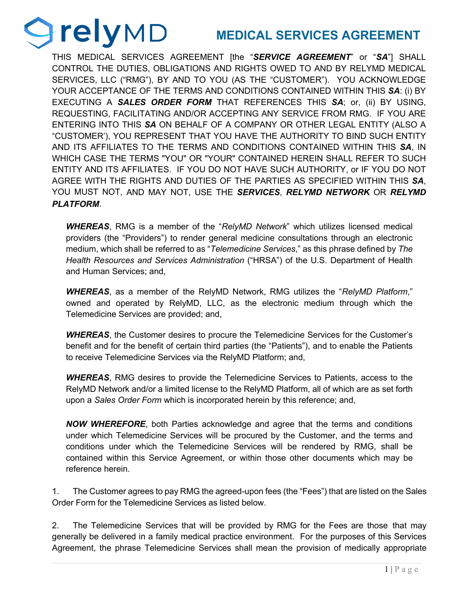## **MEDICAL SERVICES AGREEMENT**

THIS MEDICAL SERVICES AGREEMENT [the "*SERVICE AGREEMENT*" or "*SA*"] SHALL CONTROL THE DUTIES, OBLIGATIONS AND RIGHTS OWED TO AND BY RELYMD MEDICAL SERVICES, LLC ("RMG"), BY AND TO YOU (AS THE "CUSTOMER"). YOU ACKNOWLEDGE YOUR ACCEPTANCE OF THE TERMS AND CONDITIONS CONTAINED WITHIN THIS *SA*: (i) BY EXECUTING A *SALES ORDER FORM* THAT REFERENCES THIS *SA*; or, (ii) BY USING, REQUESTING, FACILITATING AND/OR ACCEPTING ANY SERVICE FROM RMG. IF YOU ARE ENTERING INTO THIS *SA* ON BEHALF OF A COMPANY OR OTHER LEGAL ENTITY (ALSO A "CUSTOMER'), YOU REPRESENT THAT YOU HAVE THE AUTHORITY TO BIND SUCH ENTITY AND ITS AFFILIATES TO THE TERMS AND CONDITIONS CONTAINED WITHIN THIS *SA*, IN WHICH CASE THE TERMS "YOU" OR "YOUR" CONTAINED HEREIN SHALL REFER TO SUCH ENTITY AND ITS AFFILIATES. IF YOU DO NOT HAVE SUCH AUTHORITY, or IF YOU DO NOT AGREE WITH THE RIGHTS AND DUTIES OF THE PARTIES AS SPECIFIED WITHIN THIS *SA*, YOU MUST NOT, AND MAY NOT, USE THE *SERVICES*, *RELYMD NETWORK* OR *RELYMD PLATFORM*.

**relyMD** 

*WHEREAS*, RMG is a member of the "*RelyMD Network*" which utilizes licensed medical providers (the "Providers") to render general medicine consultations through an electronic medium, which shall be referred to as "*Telemedicine Services*," as this phrase defined by *The Health Resources and Services Administration* ("HRSA") of the U.S. Department of Health and Human Services; and,

*WHEREAS*, as a member of the RelyMD Network, RMG utilizes the "*RelyMD Platform*," owned and operated by RelyMD, LLC, as the electronic medium through which the Telemedicine Services are provided; and,

*WHEREAS*, the Customer desires to procure the Telemedicine Services for the Customer's benefit and for the benefit of certain third parties (the "Patients"), and to enable the Patients to receive Telemedicine Services via the RelyMD Platform; and,

*WHEREAS*, RMG desires to provide the Telemedicine Services to Patients, access to the RelyMD Network and/or a limited license to the RelyMD Platform, all of which are as set forth upon a *Sales Order Form* which is incorporated herein by this reference; and,

*NOW WHEREFORE*, both Parties acknowledge and agree that the terms and conditions under which Telemedicine Services will be procured by the Customer, and the terms and conditions under which the Telemedicine Services will be rendered by RMG, shall be contained within this Service Agreement, or within those other documents which may be reference herein.

1. The Customer agrees to pay RMG the agreed-upon fees (the "Fees") that are listed on the Sales Order Form for the Telemedicine Services as listed below.

2. The Telemedicine Services that will be provided by RMG for the Fees are those that may generally be delivered in a family medical practice environment. For the purposes of this Services Agreement, the phrase Telemedicine Services shall mean the provision of medically appropriate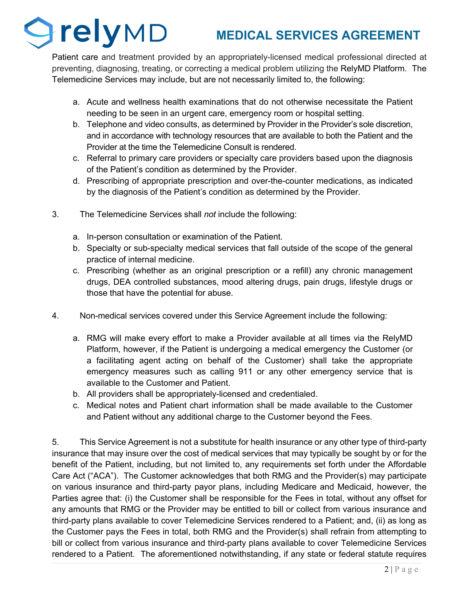## *<u>OrelyMD</u>* **MEDICAL SERVICES AGREEMENT**

Patient care and treatment provided by an appropriately-licensed medical professional directed at preventing, diagnosing, treating, or correcting a medical problem utilizing the RelyMD Platform. The Telemedicine Services may include, but are not necessarily limited to, the following:

- a. Acute and wellness health examinations that do not otherwise necessitate the Patient needing to be seen in an urgent care, emergency room or hospital setting.
- b. Telephone and video consults, as determined by Provider in the Provider's sole discretion, and in accordance with technology resources that are available to both the Patient and the Provider at the time the Telemedicine Consult is rendered.
- c. Referral to primary care providers or specialty care providers based upon the diagnosis of the Patient's condition as determined by the Provider.
- d. Prescribing of appropriate prescription and over-the-counter medications, as indicated by the diagnosis of the Patient's condition as determined by the Provider.
- 3. The Telemedicine Services shall *not* include the following:
	- a. In-person consultation or examination of the Patient.
	- b. Specialty or sub-specialty medical services that fall outside of the scope of the general practice of internal medicine.
	- c. Prescribing (whether as an original prescription or a refill) any chronic management drugs, DEA controlled substances, mood altering drugs, pain drugs, lifestyle drugs or those that have the potential for abuse.
- 4. Non-medical services covered under this Service Agreement include the following:
	- a. RMG will make every effort to make a Provider available at all times via the RelyMD Platform, however, if the Patient is undergoing a medical emergency the Customer (or a facilitating agent acting on behalf of the Customer) shall take the appropriate emergency measures such as calling 911 or any other emergency service that is available to the Customer and Patient.
	- b. All providers shall be appropriately-licensed and credentialed.
	- c. Medical notes and Patient chart information shall be made available to the Customer and Patient without any additional charge to the Customer beyond the Fees.

5. This Service Agreement is not a substitute for health insurance or any other type of third-party insurance that may insure over the cost of medical services that may typically be sought by or for the benefit of the Patient, including, but not limited to, any requirements set forth under the Affordable Care Act ("ACA"). The Customer acknowledges that both RMG and the Provider(s) may participate on various insurance and third-party payor plans, including Medicare and Medicaid, however, the Parties agree that: (i) the Customer shall be responsible for the Fees in total, without any offset for any amounts that RMG or the Provider may be entitled to bill or collect from various insurance and third-party plans available to cover Telemedicine Services rendered to a Patient; and, (ii) as long as the Customer pays the Fees in total, both RMG and the Provider(s) shall refrain from attempting to bill or collect from various insurance and third-party plans available to cover Telemedicine Services rendered to a Patient. The aforementioned notwithstanding, if any state or federal statute requires